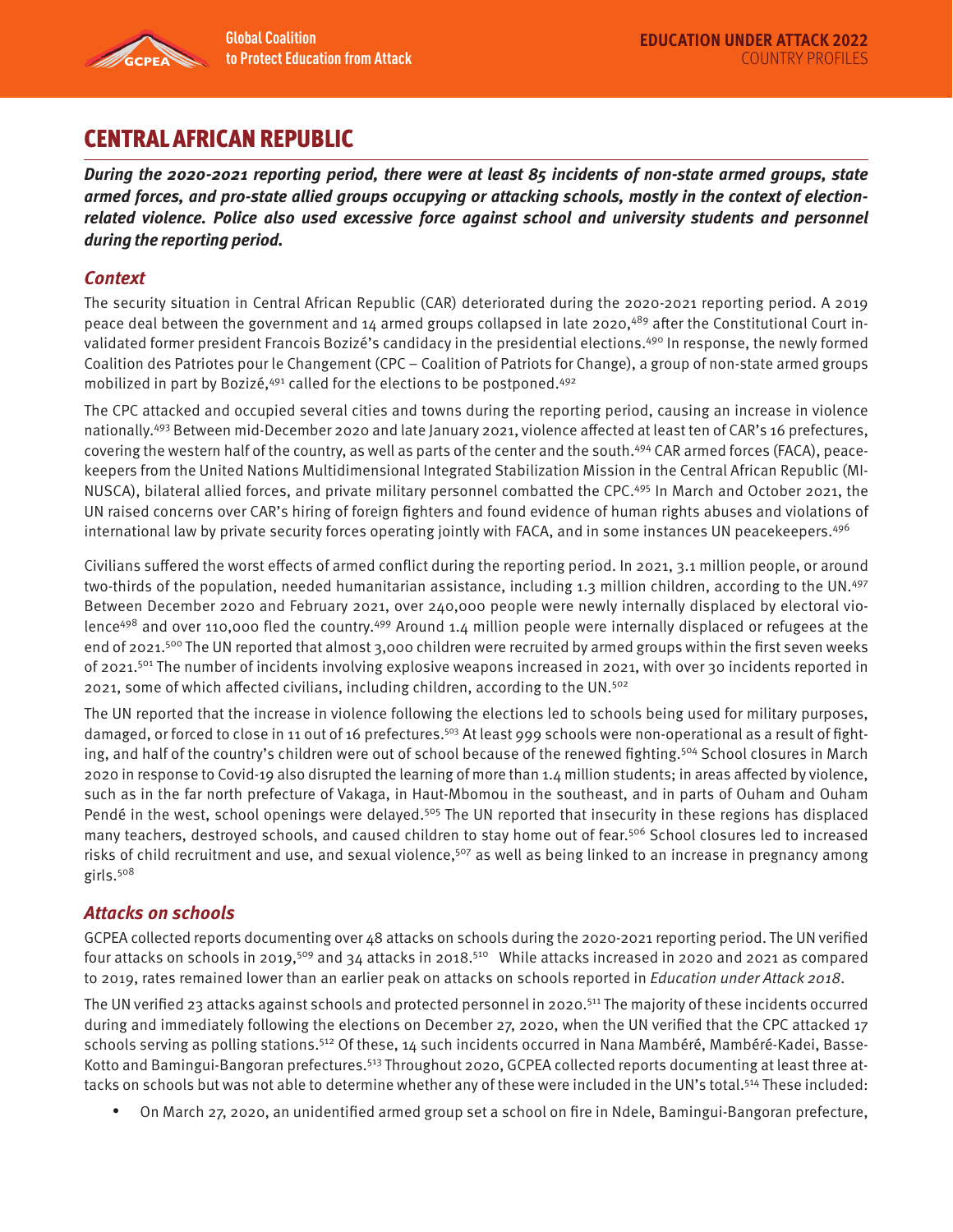

# CENTRAL AFRICAN REPUBLIC

**During the 2020-2021 reporting period, there were at least 85 incidents of non-state armed groups, state armed forces, and pro-state allied groups occupying or attacking schools, mostly in the context of electionrelated violence. Police also used excessive force against school and university students and personnel during the reporting period.** 

## **Context**

The security situation in Central African Republic (CAR) deteriorated during the 2020-2021 reporting period. A 2019 peace deal between the government and 14 armed groups collapsed in late 2020,<sup>489</sup> after the Constitutional Court invalidated former president Francois Bozizé's candidacy in the presidential elections.<sup>490</sup> In response, the newly formed Coalition des Patriotes pour le Changement (CPC – Coalition of Patriots for Change), a group of non-state armed groups mobilized in part by Bozizé, <sup>491</sup> called for the elections to be postponed. <sup>492</sup>

The CPC attacked and occupied several cities and towns during the reporting period, causing an increase in violence nationally.493 Between mid-December 2020 and late January 2021, violence affected at least ten of CAR's 16 prefectures, covering the western half of the country, as well as parts of the center and the south.494 CAR armed forces (FACA), peacekeepers from the United Nations Multidimensional Integrated Stabilization Mission in the Central African Republic (MI-NUSCA), bilateral allied forces, and private military personnel combatted the CPC.495 In March and October 2021, the UN raised concerns over CAR's hiring of foreign fighters and found evidence of human rights abuses and violations of international law by private security forces operating jointly with FACA, and in some instances UN peacekeepers.<sup>496</sup>

Civilians suffered the worst effects of armed conflict during the reporting period. In 2021, 3.1 million people, or around two-thirds of the population, needed humanitarian assistance, including 1.3 million children, according to the UN.497 Between December 2020 and February 2021, over 240,000 people were newly internally displaced by electoral violence<sup>498</sup> and over 110,000 fled the country.<sup>499</sup> Around 1.4 million people were internally displaced or refugees at the end of 2021.<sup>500</sup> The UN reported that almost 3,000 children were recruited by armed groups within the first seven weeks of 2021.<sup>501</sup> The number of incidents involving explosive weapons increased in 2021, with over 30 incidents reported in 2021, some of which affected civilians, including children, according to the UN.502

The UN reported that the increase in violence following the elections led to schools being used for military purposes, damaged, or forced to close in 11 out of 16 prefectures.<sup>503</sup> At least 999 schools were non-operational as a result of fighting, and half of the country's children were out of school because of the renewed fighting.<sup>504</sup> School closures in March 2020 in response to Covid-19 also disrupted the learning of more than 1.4 million students; in areas affected by violence, such as in the far north prefecture of Vakaga, in Haut-Mbomou in the southeast, and in parts of Ouham and Ouham Pendé in the west, school openings were delayed.<sup>505</sup> The UN reported that insecurity in these regions has displaced many teachers, destroyed schools, and caused children to stay home out of fear.<sup>506</sup> School closures led to increased risks of child recruitment and use, and sexual violence,<sup>507</sup> as well as being linked to an increase in pregnancy among girls.508

## **Attacks on schools**

GCPEA collected reports documenting over 48 attacks on schools during the 2020-2021 reporting period. The UN verified four attacks on schools in 2019,<sup>509</sup> and 34 attacks in 2018.<sup>510</sup> While attacks increased in 2020 and 2021 as compared to 2019, rates remained lower than an earlier peak on attacks on schools reported in Education under Attack 2018.

The UN verified 23 attacks against schools and protected personnel in 2020.511 The majority of these incidents occurred during and immediately following the elections on December 27, 2020, when the UN verified that the CPC attacked 17 schools serving as polling stations.512 Of these, 14 such incidents occurred in Nana Mambéré, Mambéré-Kadei, Basse-Kotto and Bamingui-Bangoran prefectures.<sup>513</sup> Throughout 2020, GCPEA collected reports documenting at least three attacks on schools but was not able to determine whether any of these were included in the UN's total.<sup>514</sup> These included:

• On March 27, 2020, an unidentified armed group set a school on fire in Ndele, Bamingui-Bangoran prefecture,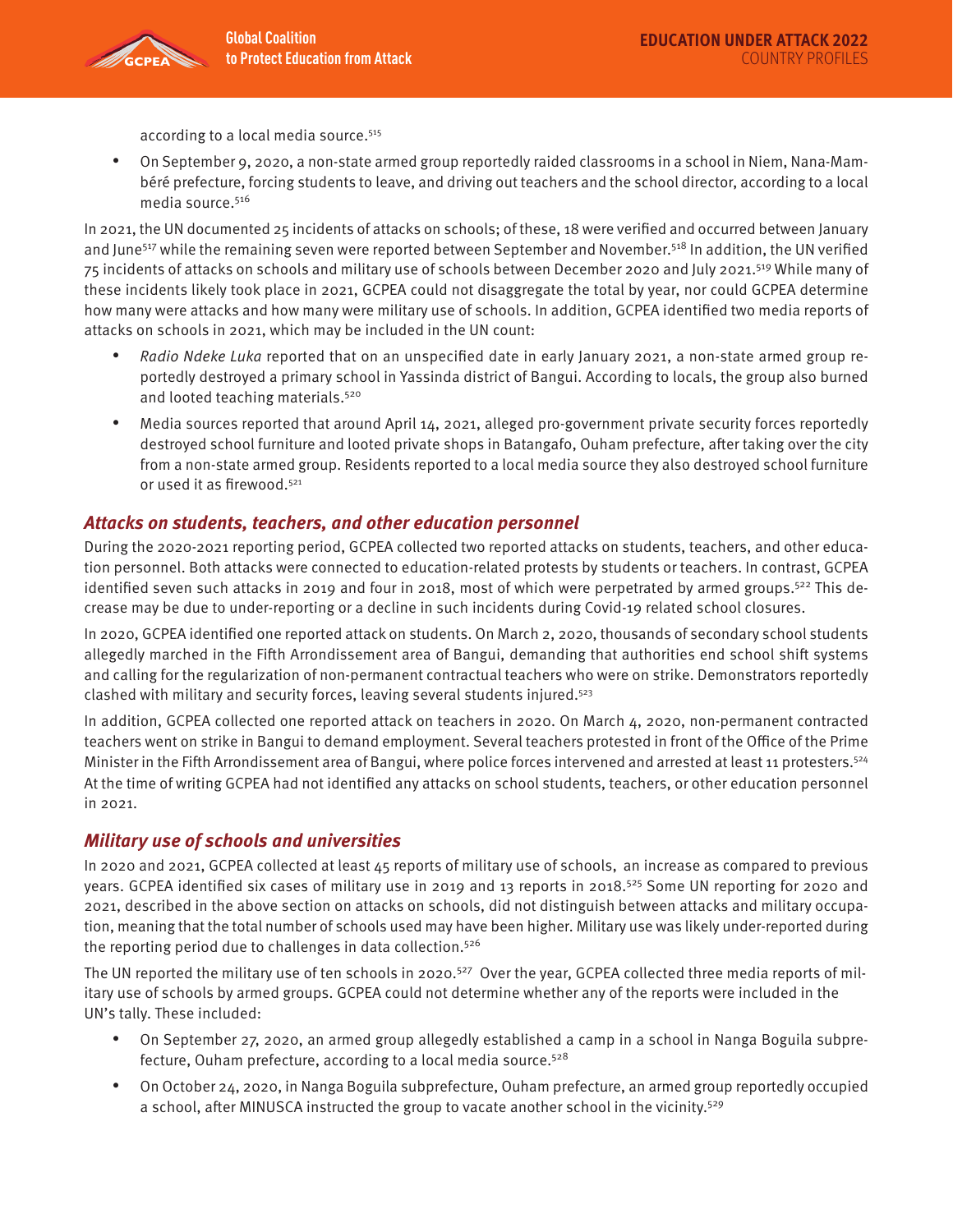according to a local media source.515

• On September 9, 2020, a non-state armed group reportedly raided classrooms in a school in Niem, Nana-Mambéré prefecture, forcing students to leave, and driving out teachers and the school director, according to a local media source.516

In 2021, the UN documented 25 incidents of attacks on schools; of these, 18 were verified and occurred between January and June<sup>517</sup> while the remaining seven were reported between September and November.<sup>518</sup> In addition, the UN verified 75 incidents of attacks on schools and military use of schools between December 2020 and July 2021.519 While many of these incidents likely took place in 2021, GCPEA could not disaggregate the total by year, nor could GCPEA determine how many were attacks and how many were military use of schools. In addition, GCPEA identified two media reports of attacks on schools in 2021, which may be included in the UN count:

- Radio Ndeke Luka reported that on an unspecified date in early January 2021, a non-state armed group reportedly destroyed a primary school in Yassinda district of Bangui. According to locals, the group also burned and looted teaching materials.520
- Media sources reported that around April 14, 2021, alleged pro-government private security forces reportedly destroyed school furniture and looted private shops in Batangafo, Ouham prefecture, after taking over the city from a non-state armed group. Residents reported to a local media source they also destroyed school furniture or used it as firewood.<sup>521</sup>

#### **Attacks on students, teachers, and other education personnel**

During the 2020-2021 reporting period, GCPEA collected two reported attacks on students, teachers, and other education personnel. Both attacks were connected to education-related protests by students or teachers. In contrast, GCPEA identified seven such attacks in 2019 and four in 2018, most of which were perpetrated by armed groups.<sup>522</sup> This decrease may be due to under-reporting or a decline in such incidents during Covid-19 related school closures.

In 2020, GCPEA identified one reported attack on students. On March 2, 2020, thousands of secondary school students allegedly marched in the Fifth Arrondissement area of Bangui, demanding that authorities end school shift systems and calling for the regularization of non-permanent contractual teachers who were on strike. Demonstrators reportedly clashed with military and security forces, leaving several students injured.523

In addition, GCPEA collected one reported attack on teachers in 2020. On March 4, 2020, non-permanent contracted teachers went on strike in Bangui to demand employment. Several teachers protested in front of the Office of the Prime Minister in the Fifth Arrondissement area of Bangui, where police forces intervened and arrested at least 11 protesters.<sup>524</sup> At the time of writing GCPEA had not identified any attacks on school students, teachers, or other education personnel in 2021.

#### **Military use of schools and universities**

In 2020 and 2021, GCPEA collected at least 45 reports of military use of schools, an increase as compared to previous years. GCPEA identified six cases of military use in 2019 and 13 reports in 2018.<sup>525</sup> Some UN reporting for 2020 and 2021, described in the above section on attacks on schools, did not distinguish between attacks and military occupation, meaning that the total number of schools used may have been higher. Military use was likely under-reported during the reporting period due to challenges in data collection.<sup>526</sup>

The UN reported the military use of ten schools in 2020.<sup>527</sup> Over the year, GCPEA collected three media reports of military use of schools by armed groups. GCPEA could not determine whether any of the reports were included in the UN's tally. These included:

- On September 27, 2020, an armed group allegedly established a camp in a school in Nanga Boguila subprefecture, Ouham prefecture, according to a local media source. $528$
- On October 24, 2020, in Nanga Boguila subprefecture, Ouham prefecture, an armed group reportedly occupied a school, after MINUSCA instructed the group to vacate another school in the vicinity.529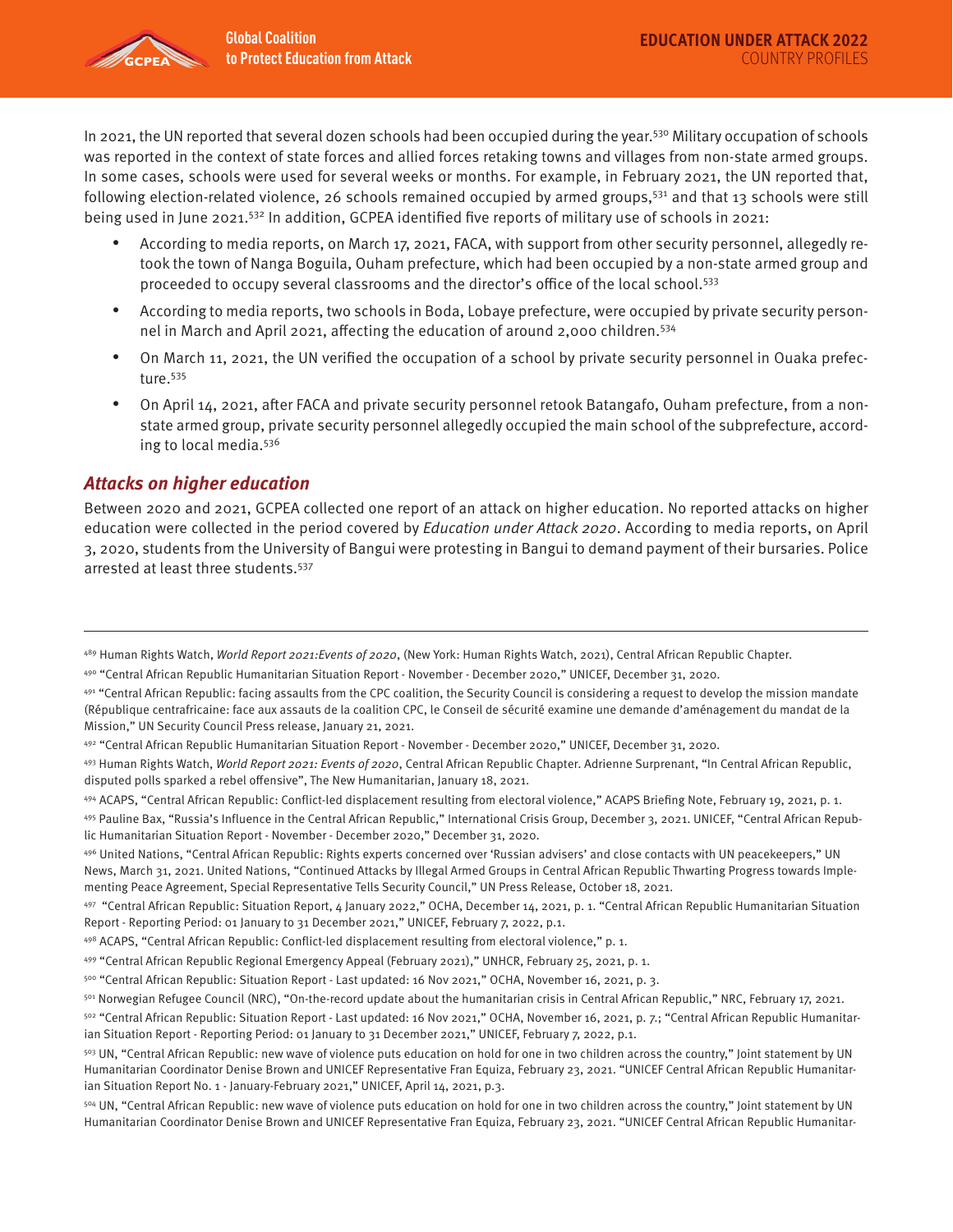In 2021, the UN reported that several dozen schools had been occupied during the year.<sup>530</sup> Military occupation of schools was reported in the context of state forces and allied forces retaking towns and villages from non-state armed groups. In some cases, schools were used for several weeks or months. For example, in February 2021, the UN reported that, following election-related violence, 26 schools remained occupied by armed groups,<sup>531</sup> and that 13 schools were still being used in June 2021.<sup>532</sup> In addition, GCPEA identified five reports of military use of schools in 2021:

- According to media reports, on March 17, 2021, FACA, with support from other security personnel, allegedly retook the town of Nanga Boguila, Ouham prefecture, which had been occupied by a non-state armed group and proceeded to occupy several classrooms and the director's office of the local school.533
- According to media reports, two schools in Boda, Lobaye prefecture, were occupied by private security personnel in March and April 2021, affecting the education of around 2,000 children.534
- On March 11, 2021, the UN verified the occupation of a school by private security personnel in Ouaka prefecture.<sup>535</sup>
- On April 14, 2021, after FACA and private security personnel retook Batangafo, Ouham prefecture, from a nonstate armed group, private security personnel allegedly occupied the main school of the subprefecture, according to local media.536

### **Attacks on higher education**

Between 2020 and 2021, GCPEA collected one report of an attack on higher education. No reported attacks on higher education were collected in the period covered by Education under Attack 2020. According to media reports, on April 3, 2020, students from the University of Bangui were protesting in Bangui to demand payment of their bursaries. Police arrested at least three students.537

<sup>&</sup>lt;sup>489</sup> Human Rights Watch, World Report 2021: Events of 2020, (New York: Human Rights Watch, 2021), Central African Republic Chapter.

<sup>490 &</sup>quot;Central African Republic Humanitarian Situation Report - November - December 2020," UNICEF, December 31, 2020.

<sup>491 &</sup>quot;Central African Republic: facing assaults from the CPC coalition, the Security Council is considering a request to develop the mission mandate (République centrafricaine: face aux assauts de la coalition CPC, le Conseil de sécurité examine une demande d'aménagement du mandat de la Mission," UN Security Council Press release, January 21, 2021.

<sup>492 &</sup>quot;Central African Republic Humanitarian Situation Report - November - December 2020," UNICEF, December 31, 2020.

<sup>493</sup> Human Rights Watch, World Report 2021: Events of 2020, Central African Republic Chapter. Adrienne Surprenant, "In Central African Republic, disputed polls sparked a rebel offensive", The New Humanitarian, January 18, 2021.

<sup>494</sup> ACAPS, "Central African Republic: Conflict-led displacement resulting from electoral violence," ACAPS Briefing Note, February 19, 2021, p. 1.

<sup>495</sup> Pauline Bax, "Russia's Influence in the Central African Republic," International Crisis Group, December 3, 2021. UNICEF, "Central African Republic Humanitarian Situation Report - November - December 2020," December 31, 2020.

<sup>496</sup> United Nations, "Central African Republic: Rights experts concerned over 'Russian advisers' and close contacts with UN peacekeepers," UN News, March 31, 2021. United Nations, "Continued Attacks by Illegal Armed Groups in Central African Republic Thwarting Progress towards Implementing Peace Agreement, Special Representative Tells Security Council," UN Press Release, October 18, 2021.

<sup>497 &</sup>quot;Central African Republic: Situation Report, 4 January 2022," OCHA, December 14, 2021, p. 1. "Central African Republic Humanitarian Situation Report - Reporting Period: 01 January to 31 December 2021," UNICEF, February 7, 2022, p.1.

<sup>498</sup> ACAPS, "Central African Republic: Conflict-led displacement resulting from electoral violence," p. 1.

<sup>499 &</sup>quot;Central African Republic Regional Emergency Appeal (February 2021)," UNHCR, February 25, 2021, p. 1.

<sup>500 &</sup>quot;Central African Republic: Situation Report - Last updated: 16 Nov 2021," OCHA, November 16, 2021, p. 3.

<sup>501</sup> Norwegian Refugee Council (NRC), "On-the-record update about the humanitarian crisis in Central African Republic," NRC, February 17, 2021.

<sup>502 &</sup>quot;Central African Republic: Situation Report - Last updated: 16 Nov 2021," OCHA, November 16, 2021, p. 7.; "Central African Republic Humanitarian Situation Report - Reporting Period: 01 January to 31 December 2021," UNICEF, February 7, 2022, p.1.

<sup>503</sup> UN, "Central African Republic: new wave of violence puts education on hold for one in two children across the country," Joint statement by UN Humanitarian Coordinator Denise Brown and UNICEF Representative Fran Equiza, February 23, 2021. "UNICEF Central African Republic Humanitarian Situation Report No. 1 - January-February 2021," UNICEF, April 14, 2021, p.3.

<sup>504</sup> UN, "Central African Republic: new wave of violence puts education on hold for one in two children across the country," Joint statement by UN Humanitarian Coordinator Denise Brown and UNICEF Representative Fran Equiza, February 23, 2021. "UNICEF Central African Republic Humanitar-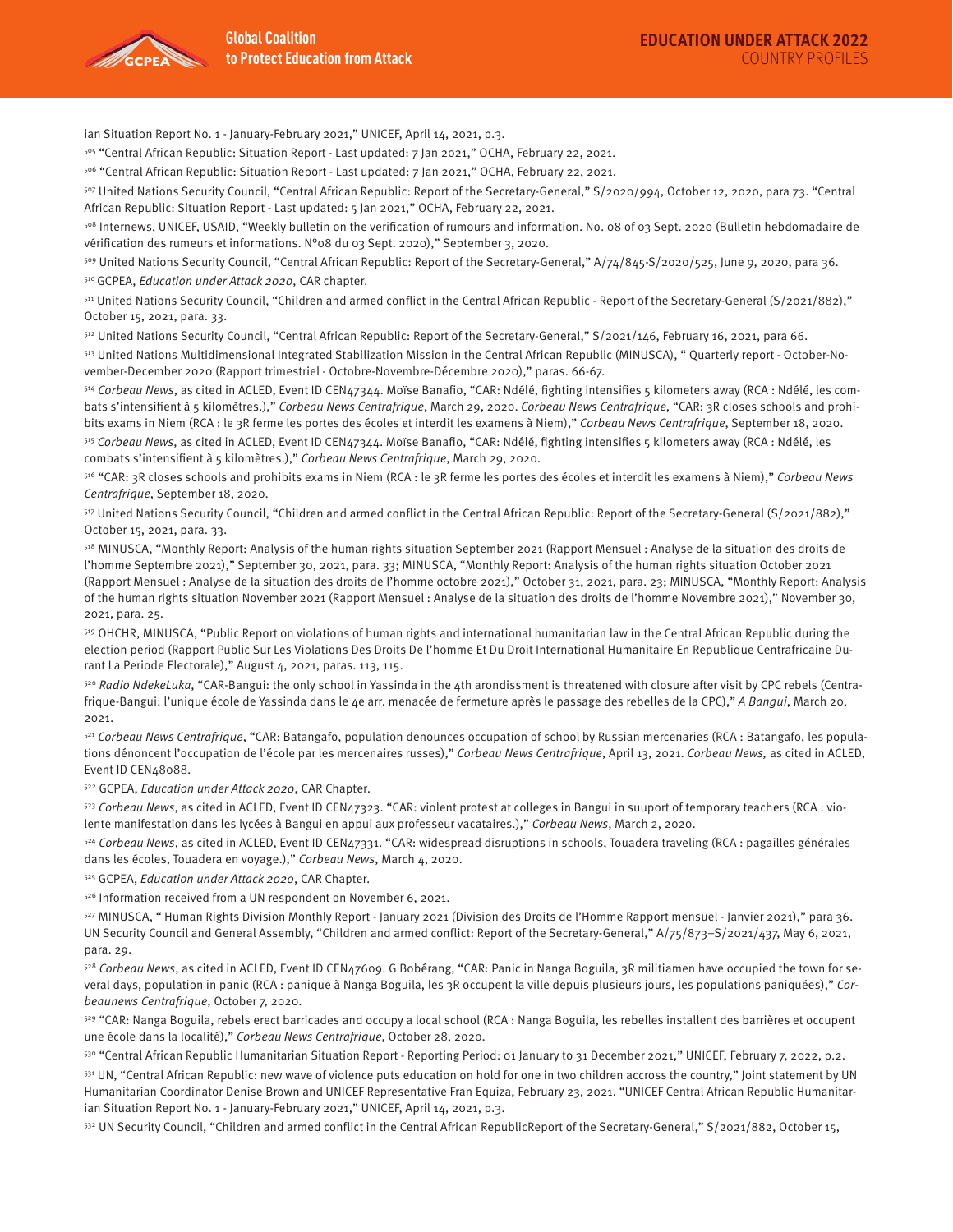

ian Situation Report No. 1 - January-February 2021," UNICEF, April 14, 2021, p.3.

505 "Central African Republic: Situation Report - Last updated: 7 Jan 2021," OCHA, February 22, 2021.

506 "Central African Republic: Situation Report - Last updated: 7 Jan 2021," OCHA, February 22, 2021.

507 United Nations Security Council, "Central African Republic: Report of the Secretary-General," S/2020/994, October 12, 2020, para 73. "Central African Republic: Situation Report - Last updated: 5 Jan 2021," OCHA, February 22, 2021.

508 Internews, UNICEF, USAID, "Weekly bulletin on the verification of rumours and information. No. 08 of 03 Sept. 2020 (Bulletin hebdomadaire de vérification des rumeurs et informations. N°08 du 03 Sept. 2020)," September 3, 2020.

509 United Nations Security Council, "Central African Republic: Report of the Secretary-General," A/74/845-S/2020/525, June 9, 2020, para 36.

510 GCPEA, Education under Attack 2020, CAR chapter.

511 United Nations Security Council, "Children and armed conflict in the Central African Republic - Report of the Secretary-General (S/2021/882)," October 15, 2021, para. 33.

512 United Nations Security Council, "Central African Republic: Report of the Secretary-General," S/2021/146, February 16, 2021, para 66.

513 United Nations Multidimensional Integrated Stabilization Mission in the Central African Republic (MINUSCA), " Quarterly report - October-November-December 2020 (Rapport trimestriel - Octobre-Novembre-Décembre 2020)," paras. 66-67.

<sup>514</sup> Corbeau News, as cited in ACLED, Event ID CEN47344. Moïse Banafio, "CAR: Ndélé, fighting intensifies 5 kilometers away (RCA : Ndélé, les combats s'intensifient à 5 kilomètres.)," Corbeau News Centrafrique, March 29, 2020. Corbeau News Centrafrique, "CAR: 3R closes schools and prohibits exams in Niem (RCA : le 3R ferme les portes des écoles et interdit les examens à Niem)," Corbeau News Centrafrique, September 18, 2020.

515 Corbeau News, as cited in ACLED, Event ID CEN47344. Moïse Banafio, "CAR: Ndélé, fighting intensifies 5 kilometers away (RCA : Ndélé, les combats s'intensifient à 5 kilomètres.)," Corbeau News Centrafrique, March 29, 2020.

516 "CAR: 3R closes schools and prohibits exams in Niem (RCA : le 3R ferme les portes des écoles et interdit les examens à Niem)," Corbeau News Centrafrique, September 18, 2020.

517 United Nations Security Council, "Children and armed conflict in the Central African Republic: Report of the Secretary-General (S/2021/882)," October 15, 2021, para. 33.

518 MINUSCA, "Monthly Report: Analysis of the human rights situation September 2021 (Rapport Mensuel : Analyse de la situation des droits de l'homme Septembre 2021)," September 30, 2021, para. 33; MINUSCA, "Monthly Report: Analysis of the human rights situation October 2021 (Rapport Mensuel : Analyse de la situation des droits de l'homme octobre 2021)," October 31, 2021, para. 23; MINUSCA, "Monthly Report: Analysis of the human rights situation November 2021 (Rapport Mensuel : Analyse de la situation des droits de l'homme Novembre 2021)," November 30, 2021, para. 25.

519 OHCHR, MINUSCA, "Public Report on violations of human rights and international humanitarian law in the Central African Republic during the election period (Rapport Public Sur Les Violations Des Droits De l'homme Et Du Droit International Humanitaire En Republique Centrafricaine Durant La Periode Electorale)," August 4, 2021, paras. 113, 115.

520 Radio NdekeLuka, "CAR-Bangui: the only school in Yassinda in the 4th arondissment is threatened with closure after visit by CPC rebels (Centrafrique-Bangui: l'unique école de Yassinda dans le 4e arr. menacée de fermeture après le passage des rebelles de la CPC)," A Bangui, March 20, 2021.

521 Corbeau News Centrafrique, "CAR: Batangafo, population denounces occupation of school by Russian mercenaries (RCA : Batangafo, les populations dénoncent l'occupation de l'école par les mercenaires russes)," Corbeau News Centrafrique, April 13, 2021. Corbeau News, as cited in ACLED, Event ID CEN48088.

522 GCPEA, Education under Attack 2020, CAR Chapter.

523 Corbeau News, as cited in ACLED, Event ID CEN47323. "CAR: violent protest at colleges in Bangui in suuport of temporary teachers (RCA : violente manifestation dans les lycées à Bangui en appui aux professeur vacataires.)," Corbeau News, March 2, 2020.

<sup>524</sup> Corbeau News, as cited in ACLED, Event ID CEN47331. "CAR: widespread disruptions in schools, Touadera traveling (RCA : pagailles générales dans les écoles, Touadera en voyage.)," Corbeau News, March 4, 2020.

525 GCPEA, Education under Attack 2020, CAR Chapter.

526 Information received from a UN respondent on November 6, 2021.

527 MINUSCA, " Human Rights Division Monthly Report - January 2021 (Division des Droits de l'Homme Rapport mensuel - Janvier 2021)," para 36. UN Security Council and General Assembly, "Children and armed conflict: Report of the Secretary-General," A/75/873–S/2021/437, May 6, 2021, para. 29.

528 Corbeau News, as cited in ACLED, Event ID CEN47609. G Bobérang, "CAR: Panic in Nanga Boguila, 3R militiamen have occupied the town for several days, population in panic (RCA : panique à Nanga Boguila, les 3R occupent la ville depuis plusieurs jours, les populations paniquées)," Corbeaunews Centrafrique, October 7, 2020.

529 "CAR: Nanga Boguila, rebels erect barricades and occupy a local school (RCA : Nanga Boguila, les rebelles installent des barrières et occupent une école dans la localité)," Corbeau News Centrafrique, October 28, 2020.

530 "Central African Republic Humanitarian Situation Report - Reporting Period: 01 January to 31 December 2021," UNICEF, February 7, 2022, p.2.

531 UN, "Central African Republic: new wave of violence puts education on hold for one in two children accross the country," Joint statement by UN Humanitarian Coordinator Denise Brown and UNICEF Representative Fran Equiza, February 23, 2021. "UNICEF Central African Republic Humanitarian Situation Report No. 1 - January-February 2021," UNICEF, April 14, 2021, p.3.

532 UN Security Council, "Children and armed conflict in the Central African RepublicReport of the Secretary-General," S/2021/882, October 15,